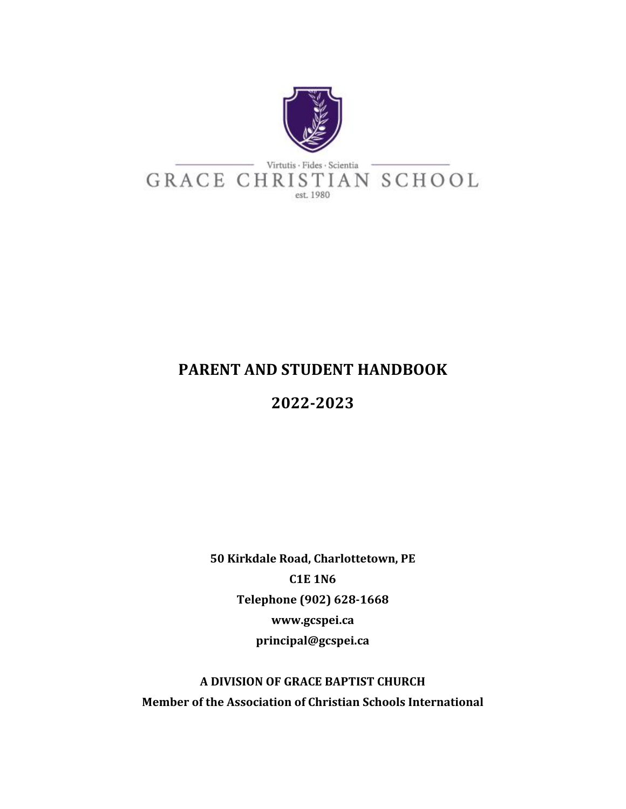

## **PARENT AND STUDENT HANDBOOK**

# **2022-2023**

**50 Kirkdale Road, Charlottetown, PE C1E 1N6 Telephone (902) 628-1668 www.gcspei.ca principal@gcspei.ca**

**A DIVISION OF GRACE BAPTIST CHURCH Member of the Association of Christian Schools International**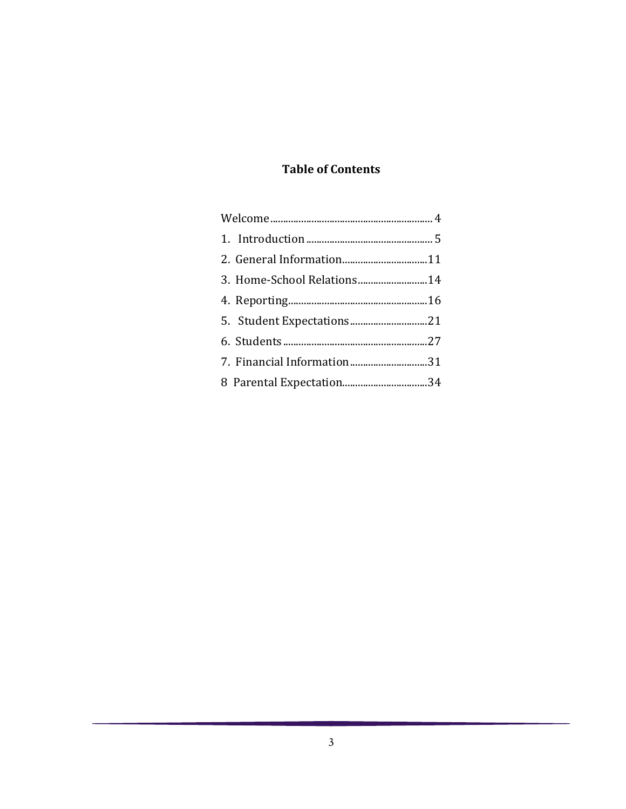## **Table of Contents**

|  | 2. General Information11   |  |
|--|----------------------------|--|
|  | 3. Home-School Relations14 |  |
|  |                            |  |
|  |                            |  |
|  |                            |  |
|  | 7. Financial Information31 |  |
|  | 8 Parental Expectation34   |  |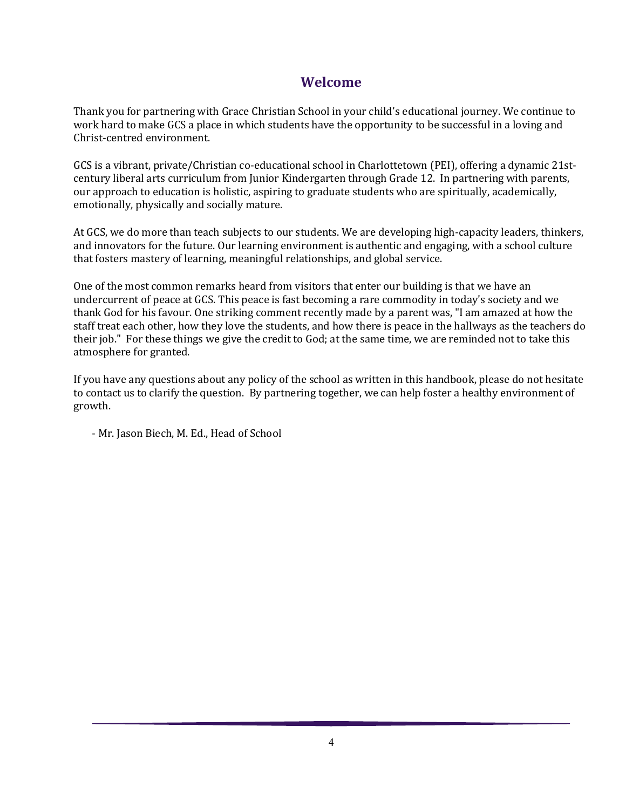## **Welcome**

<span id="page-3-0"></span>Thank you for partnering with Grace Christian School in your child's educational journey. We continue to work hard to make GCS a place in which students have the opportunity to be successful in a loving and Christ-centred environment.

GCS is a vibrant, private/Christian co-educational school in Charlottetown (PEI), offering a dynamic 21stcentury liberal arts curriculum from Junior Kindergarten through Grade 12. In partnering with parents, our approach to education is holistic, aspiring to graduate students who are spiritually, academically, emotionally, physically and socially mature.

At GCS, we do more than teach subjects to our students. We are developing high-capacity leaders, thinkers, and innovators for the future. Our learning environment is authentic and engaging, with a school culture that fosters mastery of learning, meaningful relationships, and global service.

One of the most common remarks heard from visitors that enter our building is that we have an undercurrent of peace at GCS. This peace is fast becoming a rare commodity in today's society and we thank God for his favour. One striking comment recently made by a parent was, "I am amazed at how the staff treat each other, how they love the students, and how there is peace in the hallways as the teachers do their job." For these things we give the credit to God; at the same time, we are reminded not to take this atmosphere for granted.

If you have any questions about any policy of the school as written in this handbook, please do not hesitate to contact us to clarify the question. By partnering together, we can help foster a healthy environment of growth.

- Mr. Jason Biech, M. Ed., Head of School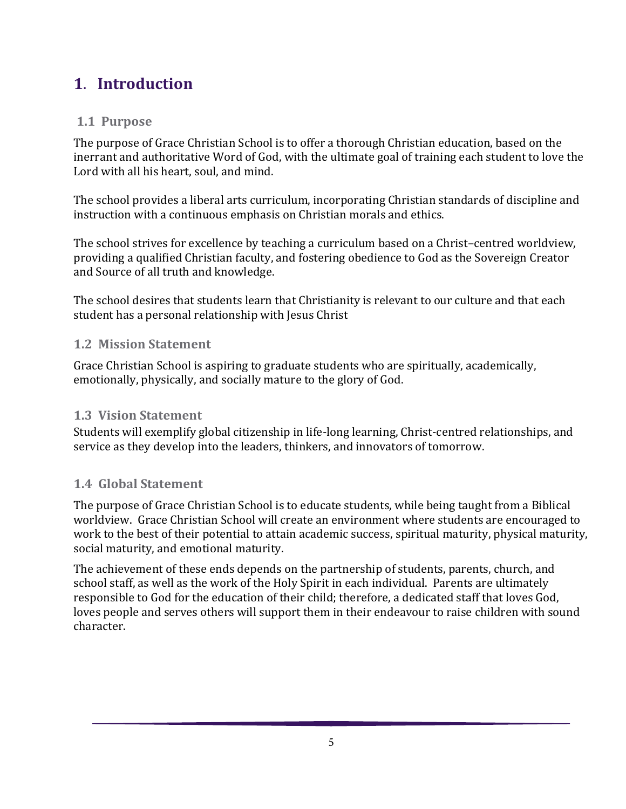# <span id="page-4-0"></span>**1**. **Introduction**

## **1.1 Purpose**

The purpose of Grace Christian School is to offer a thorough Christian education, based on the inerrant and authoritative Word of God, with the ultimate goal of training each student to love the Lord with all his heart, soul, and mind.

The school provides a liberal arts curriculum, incorporating Christian standards of discipline and instruction with a continuous emphasis on Christian morals and ethics.

The school strives for excellence by teaching a curriculum based on a Christ–centred worldview, providing a qualified Christian faculty, and fostering obedience to God as the Sovereign Creator and Source of all truth and knowledge.

The school desires that students learn that Christianity is relevant to our culture and that each student has a personal relationship with Jesus Christ

## **1.2 Mission Statement**

Grace Christian School is aspiring to graduate students who are spiritually, academically, emotionally, physically, and socially mature to the glory of God.

## **1.3 Vision Statement**

Students will exemplify global citizenship in life-long learning, Christ-centred relationships, and service as they develop into the leaders, thinkers, and innovators of tomorrow.

## **1.4 Global Statement**

The purpose of Grace Christian School is to educate students, while being taught from a Biblical worldview. Grace Christian School will create an environment where students are encouraged to work to the best of their potential to attain academic success, spiritual maturity, physical maturity, social maturity, and emotional maturity.

The achievement of these ends depends on the partnership of students, parents, church, and school staff, as well as the work of the Holy Spirit in each individual. Parents are ultimately responsible to God for the education of their child; therefore, a dedicated staff that loves God, loves people and serves others will support them in their endeavour to raise children with sound character.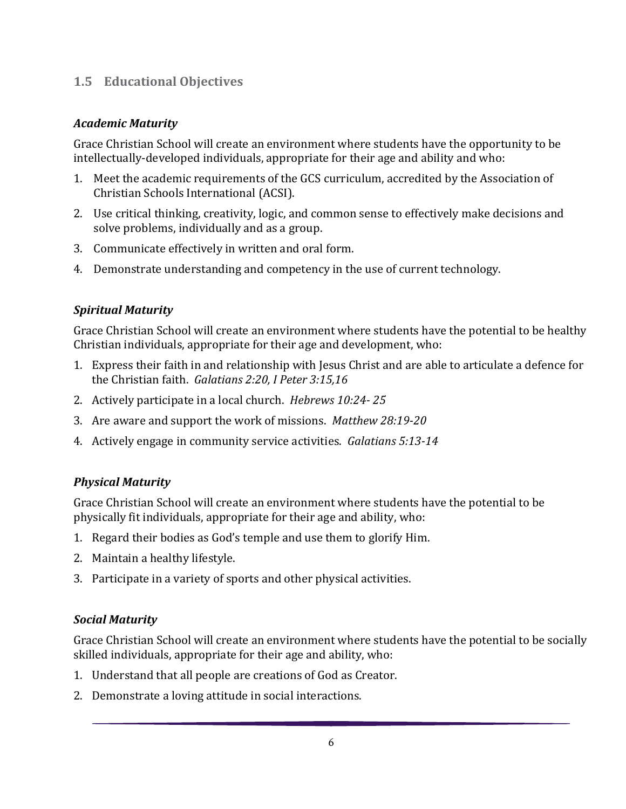#### **1.5 Educational Objectives**

#### *Academic Maturity*

Grace Christian School will create an environment where students have the opportunity to be intellectually-developed individuals, appropriate for their age and ability and who:

- 1. Meet the academic requirements of the GCS curriculum, accredited by the Association of Christian Schools International (ACSI).
- 2. Use critical thinking, creativity, logic, and common sense to effectively make decisions and solve problems, individually and as a group.
- 3. Communicate effectively in written and oral form.
- 4. Demonstrate understanding and competency in the use of current technology.

#### *Spiritual Maturity*

Grace Christian School will create an environment where students have the potential to be healthy Christian individuals, appropriate for their age and development, who:

- 1. Express their faith in and relationship with Jesus Christ and are able to articulate a defence for the Christian faith. *Galatians 2:20, I Peter 3:15,16*
- 2. Actively participate in a local church. *Hebrews 10:24- 25*
- 3. Are aware and support the work of missions. *Matthew 28:19-20*
- 4. Actively engage in community service activities. *Galatians 5:13-14*

#### *Physical Maturity*

Grace Christian School will create an environment where students have the potential to be physically fit individuals, appropriate for their age and ability, who:

- 1. Regard their bodies as God's temple and use them to glorify Him.
- 2. Maintain a healthy lifestyle.
- 3. Participate in a variety of sports and other physical activities.

#### *Social Maturity*

Grace Christian School will create an environment where students have the potential to be socially skilled individuals, appropriate for their age and ability, who:

- 1. Understand that all people are creations of God as Creator.
- 2. Demonstrate a loving attitude in social interactions.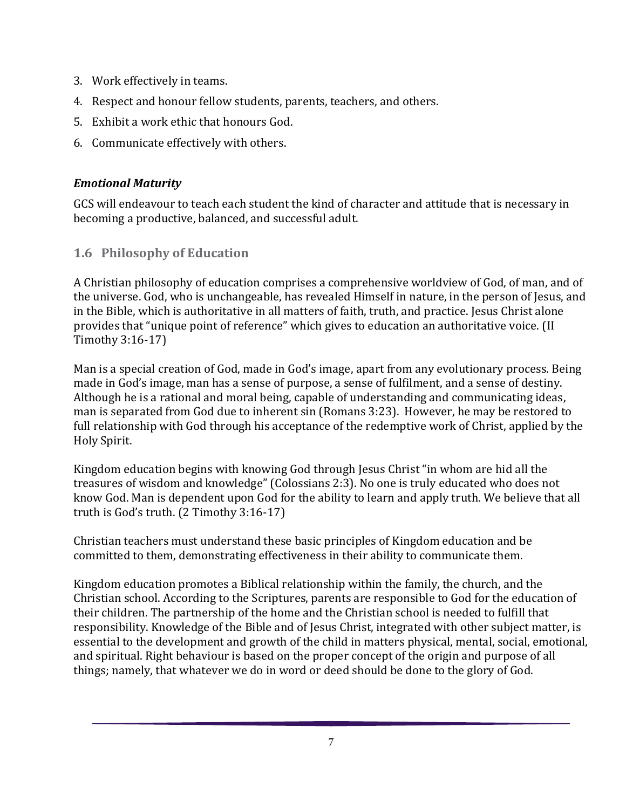- 3. Work effectively in teams.
- 4. Respect and honour fellow students, parents, teachers, and others.
- 5. Exhibit a work ethic that honours God.
- 6. Communicate effectively with others.

#### *Emotional Maturity*

GCS will endeavour to teach each student the kind of character and attitude that is necessary in becoming a productive, balanced, and successful adult.

## **1.6 Philosophy of Education**

A Christian philosophy of education comprises a comprehensive worldview of God, of man, and of the universe. God, who is unchangeable, has revealed Himself in nature, in the person of Jesus, and in the Bible, which is authoritative in all matters of faith, truth, and practice. Jesus Christ alone provides that "unique point of reference" which gives to education an authoritative voice. (II Timothy 3:16-17)

Man is a special creation of God, made in God's image, apart from any evolutionary process. Being made in God's image, man has a sense of purpose, a sense of fulfilment, and a sense of destiny. Although he is a rational and moral being, capable of understanding and communicating ideas, man is separated from God due to inherent sin (Romans 3:23). However, he may be restored to full relationship with God through his acceptance of the redemptive work of Christ, applied by the Holy Spirit.

Kingdom education begins with knowing God through Jesus Christ "in whom are hid all the treasures of wisdom and knowledge" (Colossians 2:3). No one is truly educated who does not know God. Man is dependent upon God for the ability to learn and apply truth. We believe that all truth is God's truth. (2 Timothy 3:16-17)

Christian teachers must understand these basic principles of Kingdom education and be committed to them, demonstrating effectiveness in their ability to communicate them.

Kingdom education promotes a Biblical relationship within the family, the church, and the Christian school. According to the Scriptures, parents are responsible to God for the education of their children. The partnership of the home and the Christian school is needed to fulfill that responsibility. Knowledge of the Bible and of Jesus Christ, integrated with other subject matter, is essential to the development and growth of the child in matters physical, mental, social, emotional, and spiritual. Right behaviour is based on the proper concept of the origin and purpose of all things; namely, that whatever we do in word or deed should be done to the glory of God.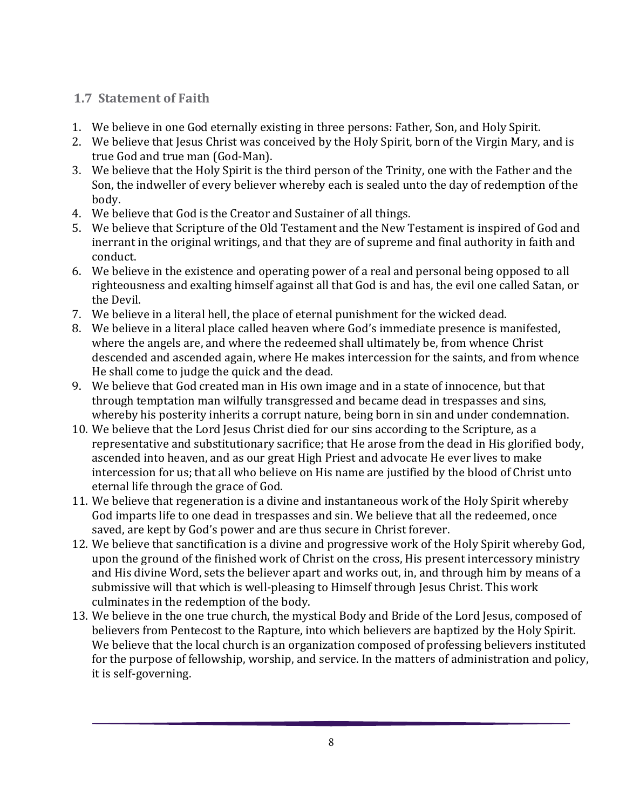## **1.7 Statement of Faith**

- 1. We believe in one God eternally existing in three persons: Father, Son, and Holy Spirit.
- 2. We believe that Jesus Christ was conceived by the Holy Spirit, born of the Virgin Mary, and is true God and true man (God-Man).
- 3. We believe that the Holy Spirit is the third person of the Trinity, one with the Father and the Son, the indweller of every believer whereby each is sealed unto the day of redemption of the body.
- 4. We believe that God is the Creator and Sustainer of all things.
- 5. We believe that Scripture of the Old Testament and the New Testament is inspired of God and inerrant in the original writings, and that they are of supreme and final authority in faith and conduct.
- 6. We believe in the existence and operating power of a real and personal being opposed to all righteousness and exalting himself against all that God is and has, the evil one called Satan, or the Devil.
- 7. We believe in a literal hell, the place of eternal punishment for the wicked dead.
- 8. We believe in a literal place called heaven where God's immediate presence is manifested, where the angels are, and where the redeemed shall ultimately be, from whence Christ descended and ascended again, where He makes intercession for the saints, and from whence He shall come to judge the quick and the dead.
- 9. We believe that God created man in His own image and in a state of innocence, but that through temptation man wilfully transgressed and became dead in trespasses and sins, whereby his posterity inherits a corrupt nature, being born in sin and under condemnation.
- 10. We believe that the Lord Jesus Christ died for our sins according to the Scripture, as a representative and substitutionary sacrifice; that He arose from the dead in His glorified body, ascended into heaven, and as our great High Priest and advocate He ever lives to make intercession for us; that all who believe on His name are justified by the blood of Christ unto eternal life through the grace of God.
- 11. We believe that regeneration is a divine and instantaneous work of the Holy Spirit whereby God imparts life to one dead in trespasses and sin. We believe that all the redeemed, once saved, are kept by God's power and are thus secure in Christ forever.
- 12. We believe that sanctification is a divine and progressive work of the Holy Spirit whereby God, upon the ground of the finished work of Christ on the cross, His present intercessory ministry and His divine Word, sets the believer apart and works out, in, and through him by means of a submissive will that which is well-pleasing to Himself through Jesus Christ. This work culminates in the redemption of the body.
- 13. We believe in the one true church, the mystical Body and Bride of the Lord Jesus, composed of believers from Pentecost to the Rapture, into which believers are baptized by the Holy Spirit. We believe that the local church is an organization composed of professing believers instituted for the purpose of fellowship, worship, and service. In the matters of administration and policy, it is self-governing.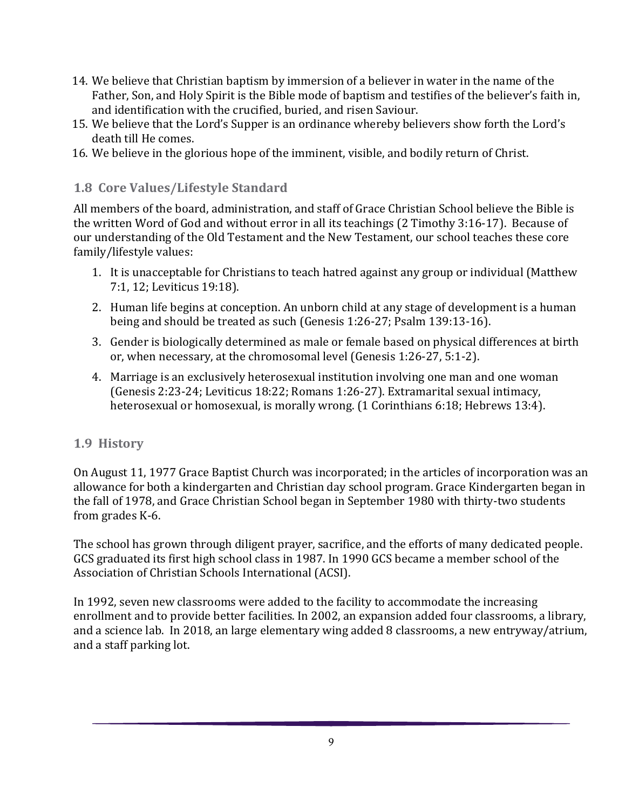- 14. We believe that Christian baptism by immersion of a believer in water in the name of the Father, Son, and Holy Spirit is the Bible mode of baptism and testifies of the believer's faith in, and identification with the crucified, buried, and risen Saviour.
- 15. We believe that the Lord's Supper is an ordinance whereby believers show forth the Lord's death till He comes.
- 16. We believe in the glorious hope of the imminent, visible, and bodily return of Christ.

#### **1.8 Core Values/Lifestyle Standard**

All members of the board, administration, and staff of Grace Christian School believe the Bible is the written Word of God and without error in all its teachings (2 Timothy 3:16-17). Because of our understanding of the Old Testament and the New Testament, our school teaches these core family/lifestyle values:

- 1. It is unacceptable for Christians to teach hatred against any group or individual (Matthew 7:1, 12; Leviticus 19:18).
- 2. Human life begins at conception. An unborn child at any stage of development is a human being and should be treated as such (Genesis 1:26-27; Psalm 139:13-16).
- 3. Gender is biologically determined as male or female based on physical differences at birth or, when necessary, at the chromosomal level (Genesis 1:26-27, 5:1-2).
- 4. Marriage is an exclusively heterosexual institution involving one man and one woman (Genesis 2:23-24; Leviticus 18:22; Romans 1:26-27). Extramarital sexual intimacy, heterosexual or homosexual, is morally wrong. (1 Corinthians 6:18; Hebrews 13:4).

#### **1.9 History**

On August 11, 1977 Grace Baptist Church was incorporated; in the articles of incorporation was an allowance for both a kindergarten and Christian day school program. Grace Kindergarten began in the fall of 1978, and Grace Christian School began in September 1980 with thirty-two students from grades K-6.

The school has grown through diligent prayer, sacrifice, and the efforts of many dedicated people. GCS graduated its first high school class in 1987. In 1990 GCS became a member school of the Association of Christian Schools International (ACSI).

In 1992, seven new classrooms were added to the facility to accommodate the increasing enrollment and to provide better facilities. In 2002, an expansion added four classrooms, a library, and a science lab. In 2018, an large elementary wing added 8 classrooms, a new entryway/atrium, and a staff parking lot.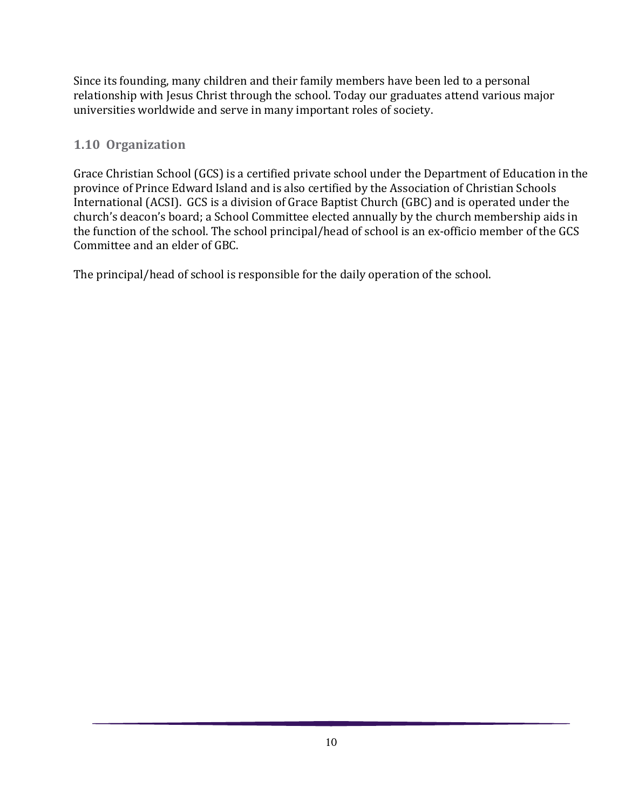Since its founding, many children and their family members have been led to a personal relationship with Jesus Christ through the school. Today our graduates attend various major universities worldwide and serve in many important roles of society.

## **1.10 Organization**

Grace Christian School (GCS) is a certified private school under the Department of Education in the province of Prince Edward Island and is also certified by the Association of Christian Schools International (ACSI). GCS is a division of Grace Baptist Church (GBC) and is operated under the church's deacon's board; a School Committee elected annually by the church membership aids in the function of the school. The school principal/head of school is an ex-officio member of the GCS Committee and an elder of GBC.

The principal/head of school is responsible for the daily operation of the school.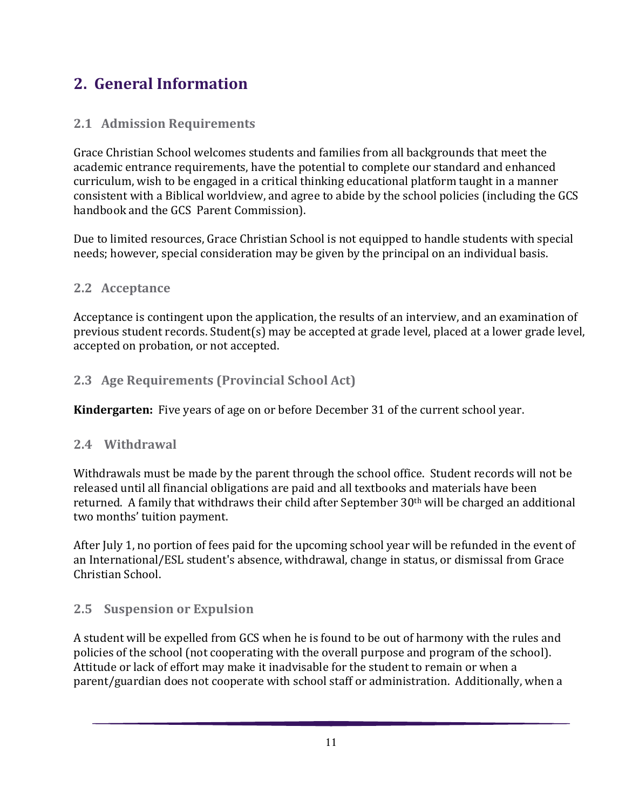# <span id="page-10-0"></span>**2. General Information**

## **2.1 Admission Requirements**

Grace Christian School welcomes students and families from all backgrounds that meet the academic entrance requirements, have the potential to complete our standard and enhanced curriculum, wish to be engaged in a critical thinking educational platform taught in a manner consistent with a Biblical worldview, and agree to abide by the school policies (including the GCS handbook and the GCS Parent Commission).

Due to limited resources, Grace Christian School is not equipped to handle students with special needs; however, special consideration may be given by the principal on an individual basis.

## **2.2 Acceptance**

Acceptance is contingent upon the application, the results of an interview, and an examination of previous student records. Student(s) may be accepted at grade level, placed at a lower grade level, accepted on probation, or not accepted.

## **2.3 Age Requirements (Provincial School Act)**

**Kindergarten:** Five years of age on or before December 31 of the current school year.

## **2.4 Withdrawal**

Withdrawals must be made by the parent through the school office. Student records will not be released until all financial obligations are paid and all textbooks and materials have been returned. A family that withdraws their child after September 30th will be charged an additional two months' tuition payment.

After July 1, no portion of fees paid for the upcoming school year will be refunded in the event of an International/ESL student's absence, withdrawal, change in status, or dismissal from Grace Christian School.

## **2.5 Suspension or Expulsion**

A student will be expelled from GCS when he is found to be out of harmony with the rules and policies of the school (not cooperating with the overall purpose and program of the school). Attitude or lack of effort may make it inadvisable for the student to remain or when a parent/guardian does not cooperate with school staff or administration. Additionally, when a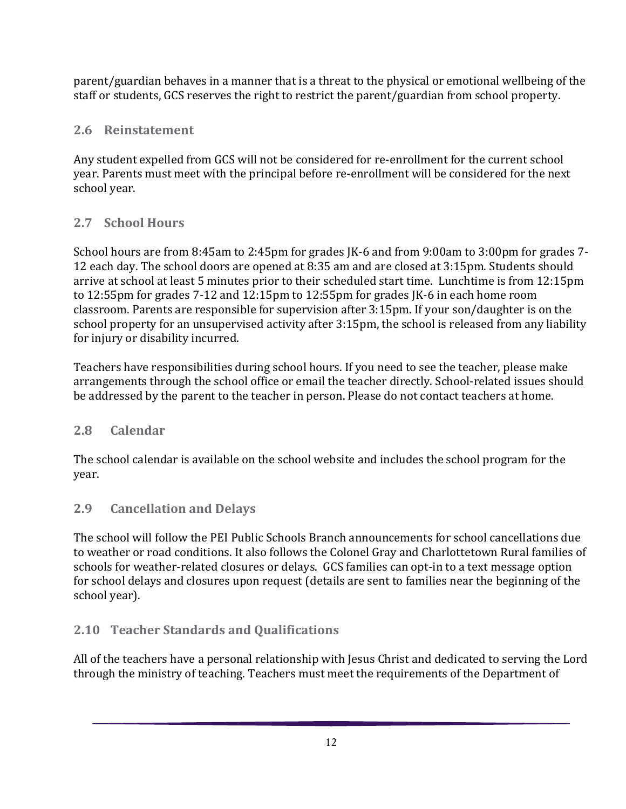parent/guardian behaves in a manner that is a threat to the physical or emotional wellbeing of the staff or students, GCS reserves the right to restrict the parent/guardian from school property.

## **2.6 Reinstatement**

Any student expelled from GCS will not be considered for re-enrollment for the current school year. Parents must meet with the principal before re-enrollment will be considered for the next school year.

## **2.7 School Hours**

School hours are from 8:45am to 2:45pm for grades JK-6 and from 9:00am to 3:00pm for grades 7- 12 each day. The school doors are opened at 8:35 am and are closed at 3:15pm. Students should arrive at school at least 5 minutes prior to their scheduled start time. Lunchtime is from 12:15pm to 12:55pm for grades 7-12 and 12:15pm to 12:55pm for grades JK-6 in each home room classroom. Parents are responsible for supervision after 3:15pm. If your son/daughter is on the school property for an unsupervised activity after 3:15pm, the school is released from any liability for injury or disability incurred.

Teachers have responsibilities during school hours. If you need to see the teacher, please make arrangements through the school office or email the teacher directly. School-related issues should be addressed by the parent to the teacher in person. Please do not contact teachers at home.

## **2.8 Calendar**

The school calendar is available on the school website and includes the school program for the year.

## **2.9 Cancellation and Delays**

The school will follow the PEI Public Schools Branch announcements for school cancellations due to weather or road conditions. It also follows the Colonel Gray and Charlottetown Rural families of schools for weather-related closures or delays. GCS families can opt-in to a text message option for school delays and closures upon request (details are sent to families near the beginning of the school year).

## **2.10 Teacher Standards and Qualifications**

All of the teachers have a personal relationship with Jesus Christ and dedicated to serving the Lord through the ministry of teaching. Teachers must meet the requirements of the Department of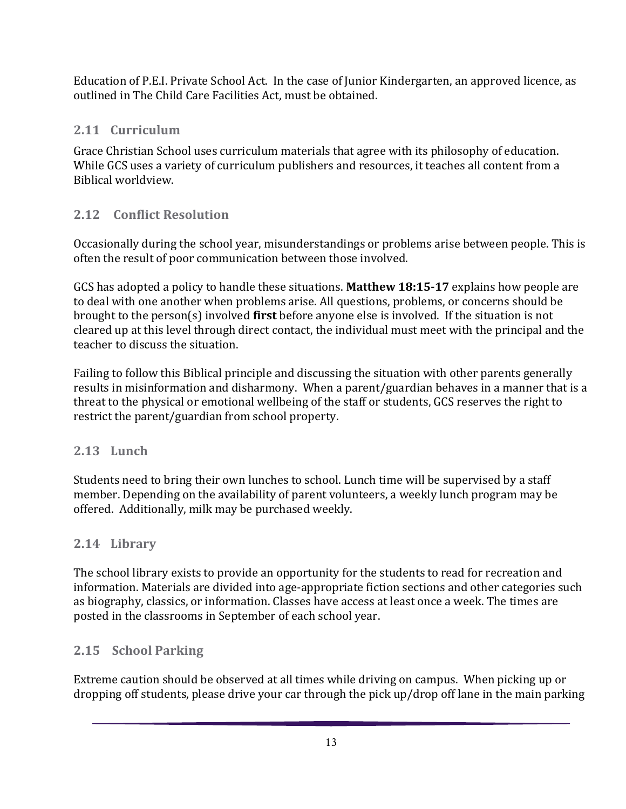Education of P.E.I. Private School Act. In the case of Junior Kindergarten, an approved licence, as outlined in The Child Care Facilities Act, must be obtained.

## **2.11 Curriculum**

Grace Christian School uses curriculum materials that agree with its philosophy of education. While GCS uses a variety of curriculum publishers and resources, it teaches all content from a Biblical worldview.

## **2.12 Conflict Resolution**

Occasionally during the school year, misunderstandings or problems arise between people. This is often the result of poor communication between those involved.

GCS has adopted a policy to handle these situations. **Matthew 18:15-17** explains how people are to deal with one another when problems arise. All questions, problems, or concerns should be brought to the person(s) involved **first** before anyone else is involved. If the situation is not cleared up at this level through direct contact, the individual must meet with the principal and the teacher to discuss the situation.

Failing to follow this Biblical principle and discussing the situation with other parents generally results in misinformation and disharmony. When a parent/guardian behaves in a manner that is a threat to the physical or emotional wellbeing of the staff or students, GCS reserves the right to restrict the parent/guardian from school property.

#### **2.13 Lunch**

Students need to bring their own lunches to school. Lunch time will be supervised by a staff member. Depending on the availability of parent volunteers, a weekly lunch program may be offered. Additionally, milk may be purchased weekly.

## **2.14 Library**

The school library exists to provide an opportunity for the students to read for recreation and information. Materials are divided into age-appropriate fiction sections and other categories such as biography, classics, or information. Classes have access at least once a week. The times are posted in the classrooms in September of each school year.

## **2.15 School Parking**

Extreme caution should be observed at all times while driving on campus. When picking up or dropping off students, please drive your car through the pick up/drop off lane in the main parking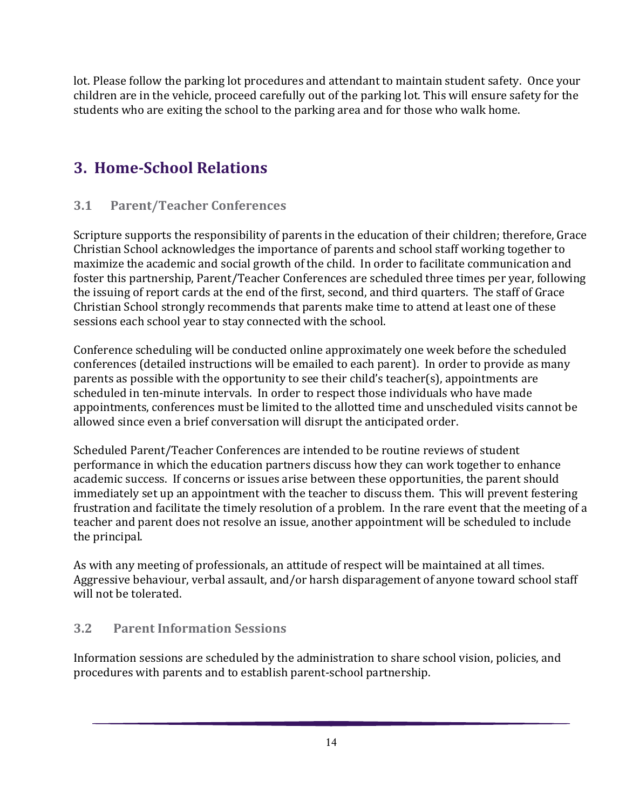lot. Please follow the parking lot procedures and attendant to maintain student safety. Once your children are in the vehicle, proceed carefully out of the parking lot. This will ensure safety for the students who are exiting the school to the parking area and for those who walk home.

# <span id="page-13-0"></span>**3. Home-School Relations**

## **3.1 Parent/Teacher Conferences**

Scripture supports the responsibility of parents in the education of their children; therefore, Grace Christian School acknowledges the importance of parents and school staff working together to maximize the academic and social growth of the child. In order to facilitate communication and foster this partnership, Parent/Teacher Conferences are scheduled three times per year, following the issuing of report cards at the end of the first, second, and third quarters. The staff of Grace Christian School strongly recommends that parents make time to attend at least one of these sessions each school year to stay connected with the school.

Conference scheduling will be conducted online approximately one week before the scheduled conferences (detailed instructions will be emailed to each parent). In order to provide as many parents as possible with the opportunity to see their child's teacher(s), appointments are scheduled in ten-minute intervals. In order to respect those individuals who have made appointments, conferences must be limited to the allotted time and unscheduled visits cannot be allowed since even a brief conversation will disrupt the anticipated order.

Scheduled Parent/Teacher Conferences are intended to be routine reviews of student performance in which the education partners discuss how they can work together to enhance academic success. If concerns or issues arise between these opportunities, the parent should immediately set up an appointment with the teacher to discuss them. This will prevent festering frustration and facilitate the timely resolution of a problem. In the rare event that the meeting of a teacher and parent does not resolve an issue, another appointment will be scheduled to include the principal.

As with any meeting of professionals, an attitude of respect will be maintained at all times. Aggressive behaviour, verbal assault, and/or harsh disparagement of anyone toward school staff will not be tolerated.

## **3.2 Parent Information Sessions**

Information sessions are scheduled by the administration to share school vision, policies, and procedures with parents and to establish parent-school partnership.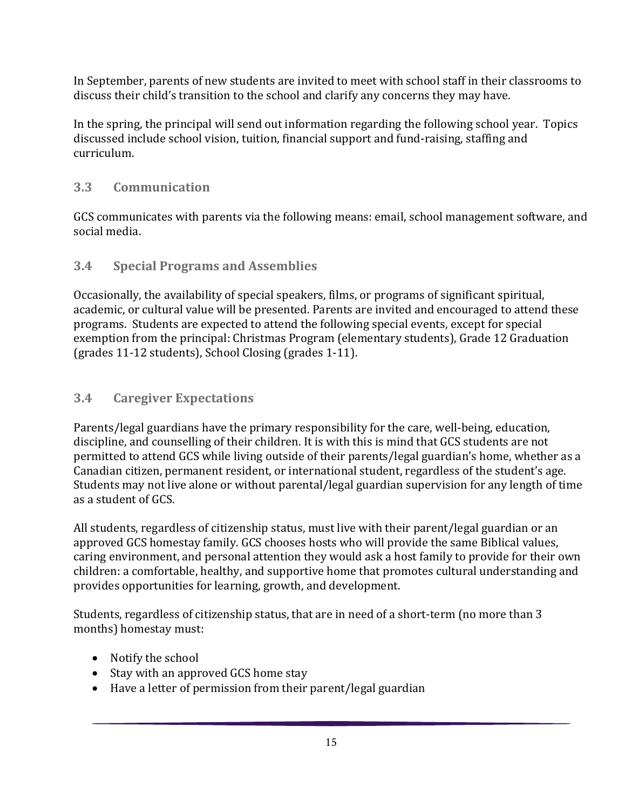In September, parents of new students are invited to meet with school staff in their classrooms to discuss their child's transition to the school and clarify any concerns they may have.

In the spring, the principal will send out information regarding the following school year. Topics discussed include school vision, tuition, financial support and fund-raising, staffing and curriculum.

## **3.3 Communication**

GCS communicates with parents via the following means: email, school management software, and social media.

#### **3.4 Special Programs and Assemblies**

Occasionally, the availability of special speakers, films, or programs of significant spiritual, academic, or cultural value will be presented. Parents are invited and encouraged to attend these programs. Students are expected to attend the following special events, except for special exemption from the principal: Christmas Program (elementary students), Grade 12 Graduation (grades 11-12 students), School Closing (grades 1-11).

## **3.4 Caregiver Expectations**

Parents/legal guardians have the primary responsibility for the care, well-being, education, discipline, and counselling of their children. It is with this is mind that GCS students are not permitted to attend GCS while living outside of their parents/legal guardian's home, whether as a Canadian citizen, permanent resident, or international student, regardless of the student's age. Students may not live alone or without parental/legal guardian supervision for any length of time as a student of GCS.

All students, regardless of citizenship status, must live with their parent/legal guardian or an approved GCS homestay family. GCS chooses hosts who will provide the same Biblical values, caring environment, and personal attention they would ask a host family to provide for their own children: a comfortable, healthy, and supportive home that promotes cultural understanding and provides opportunities for learning, growth, and development.

Students, regardless of citizenship status, that are in need of a short-term (no more than 3 months) homestay must:

- Notify the school
- Stay with an approved GCS home stay
- Have a letter of permission from their parent/legal guardian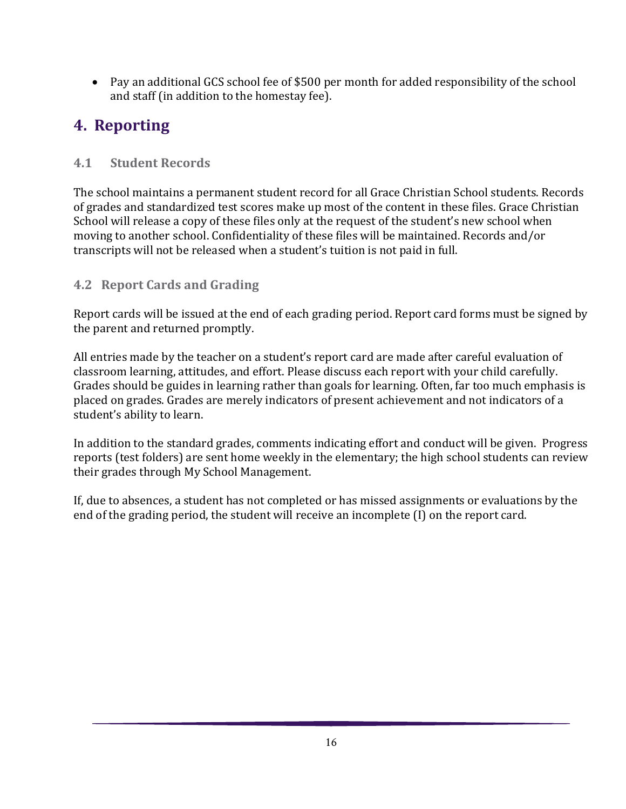• Pay an additional GCS school fee of \$500 per month for added responsibility of the school and staff (in addition to the homestay fee).

# <span id="page-15-0"></span>**4. Reporting**

## **4.1 Student Records**

The school maintains a permanent student record for all Grace Christian School students. Records of grades and standardized test scores make up most of the content in these files. Grace Christian School will release a copy of these files only at the request of the student's new school when moving to another school. Confidentiality of these files will be maintained. Records and/or transcripts will not be released when a student's tuition is not paid in full.

## **4.2 Report Cards and Grading**

Report cards will be issued at the end of each grading period. Report card forms must be signed by the parent and returned promptly.

All entries made by the teacher on a student's report card are made after careful evaluation of classroom learning, attitudes, and effort. Please discuss each report with your child carefully. Grades should be guides in learning rather than goals for learning. Often, far too much emphasis is placed on grades. Grades are merely indicators of present achievement and not indicators of a student's ability to learn.

In addition to the standard grades, comments indicating effort and conduct will be given. Progress reports (test folders) are sent home weekly in the elementary; the high school students can review their grades through My School Management.

If, due to absences, a student has not completed or has missed assignments or evaluations by the end of the grading period, the student will receive an incomplete (I) on the report card.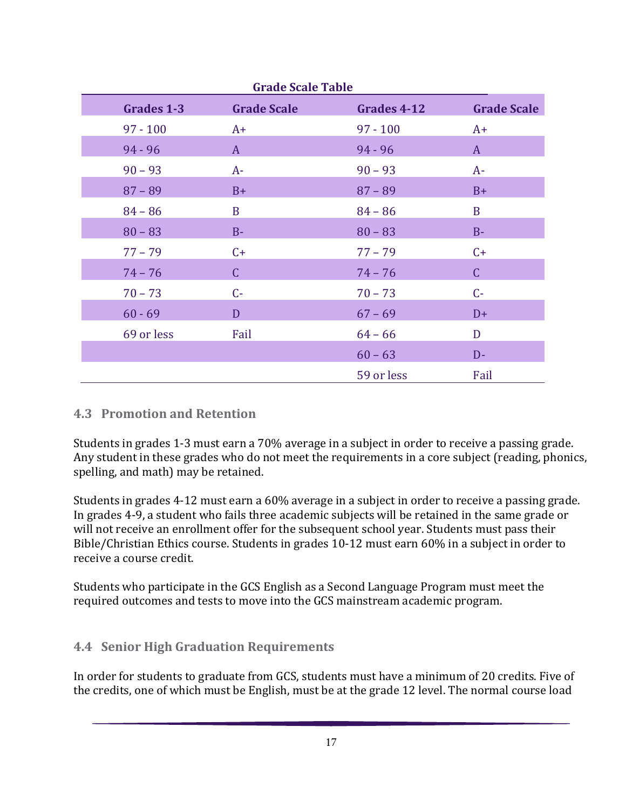| Grades 1-3 | <b>Grade Scale</b> | Grades 4-12 | <b>Grade Scale</b> |
|------------|--------------------|-------------|--------------------|
| $97 - 100$ | $A+$               | $97 - 100$  | $A+$               |
| $94 - 96$  | $\mathbf{A}$       | $94 - 96$   | $\mathbf{A}$       |
| $90 - 93$  | $A-$               | $90 - 93$   | $A-$               |
| $87 - 89$  | $B+$               | $87 - 89$   | $B+$               |
| $84 - 86$  | B                  | $84 - 86$   | $\mathbf{B}$       |
| $80 - 83$  | $B-$               | $80 - 83$   | $B -$              |
| $77 - 79$  | $C+$               | $77 - 79$   | $C+$               |
| $74 - 76$  | $\mathsf C$        | $74 - 76$   | $\mathsf{C}$       |
| $70 - 73$  | $C -$              | $70 - 73$   | $C -$              |
| $60 - 69$  | D                  | $67 - 69$   | $D+$               |
| 69 or less | Fail               | $64 - 66$   | D                  |
|            |                    | $60 - 63$   | $D -$              |
|            |                    | 59 or less  | Fail               |

## **4.3 Promotion and Retention**

Students in grades 1-3 must earn a 70% average in a subject in order to receive a passing grade. Any student in these grades who do not meet the requirements in a core subject (reading, phonics, spelling, and math) may be retained.

Students in grades 4-12 must earn a 60% average in a subject in order to receive a passing grade. In grades 4-9, a student who fails three academic subjects will be retained in the same grade or will not receive an enrollment offer for the subsequent school year. Students must pass their Bible/Christian Ethics course. Students in grades 10-12 must earn 60% in a subject in order to receive a course credit.

Students who participate in the GCS English as a Second Language Program must meet the required outcomes and tests to move into the GCS mainstream academic program.

## **4.4 Senior High Graduation Requirements**

In order for students to graduate from GCS, students must have a minimum of 20 credits. Five of the credits, one of which must be English, must be at the grade 12 level. The normal course load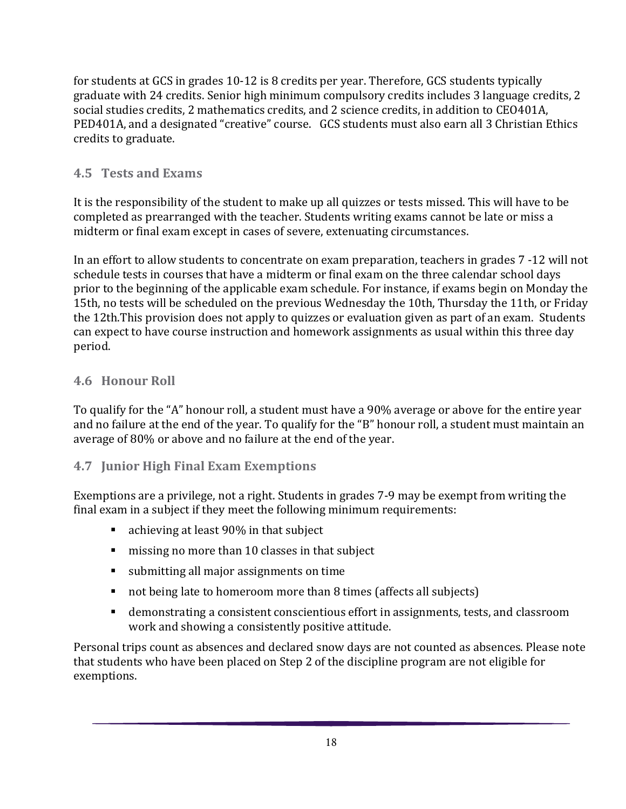for students at GCS in grades 10-12 is 8 credits per year. Therefore, GCS students typically graduate with 24 credits. Senior high minimum compulsory credits includes 3 language credits, 2 social studies credits, 2 mathematics credits, and 2 science credits, in addition to CEO401A, PED401A, and a designated "creative" course. GCS students must also earn all 3 Christian Ethics credits to graduate.

## **4.5 Tests and Exams**

It is the responsibility of the student to make up all quizzes or tests missed. This will have to be completed as prearranged with the teacher. Students writing exams cannot be late or miss a midterm or final exam except in cases of severe, extenuating circumstances.

In an effort to allow students to concentrate on exam preparation, teachers in grades 7 -12 will not schedule tests in courses that have a midterm or final exam on the three calendar school days prior to the beginning of the applicable exam schedule. For instance, if exams begin on Monday the 15th, no tests will be scheduled on the previous Wednesday the 10th, Thursday the 11th, or Friday the 12th.This provision does not apply to quizzes or evaluation given as part of an exam. Students can expect to have course instruction and homework assignments as usual within this three day period.

## **4.6 Honour Roll**

To qualify for the "A" honour roll, a student must have a 90% average or above for the entire year and no failure at the end of the year. To qualify for the "B" honour roll, a student must maintain an average of 80% or above and no failure at the end of the year.

#### **4.7 Junior High Final Exam Exemptions**

Exemptions are a privilege, not a right. Students in grades 7-9 may be exempt from writing the final exam in a subject if they meet the following minimum requirements:

- achieving at least 90% in that subject
- missing no more than 10 classes in that subject
- submitting all major assignments on time
- not being late to homeroom more than 8 times (affects all subjects)
- demonstrating a consistent conscientious effort in assignments, tests, and classroom work and showing a consistently positive attitude.

Personal trips count as absences and declared snow days are not counted as absences. Please note that students who have been placed on Step 2 of the discipline program are not eligible for exemptions.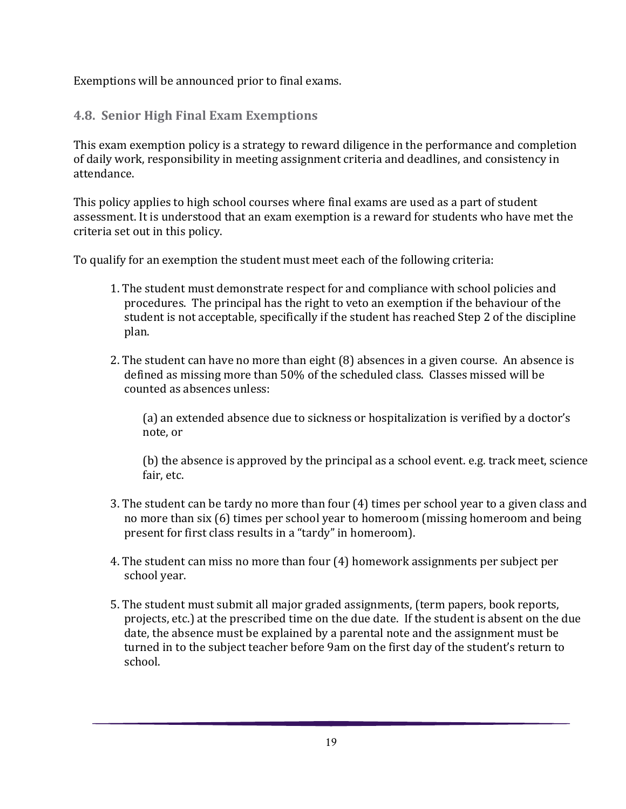Exemptions will be announced prior to final exams.

#### **4.8. Senior High Final Exam Exemptions**

This exam exemption policy is a strategy to reward diligence in the performance and completion of daily work, responsibility in meeting assignment criteria and deadlines, and consistency in attendance.

This policy applies to high school courses where final exams are used as a part of student assessment. It is understood that an exam exemption is a reward for students who have met the criteria set out in this policy.

To qualify for an exemption the student must meet each of the following criteria:

- 1. The student must demonstrate respect for and compliance with school policies and procedures. The principal has the right to veto an exemption if the behaviour of the student is not acceptable, specifically if the student has reached Step 2 of the discipline plan.
- 2. The student can have no more than eight (8) absences in a given course. An absence is defined as missing more than 50% of the scheduled class. Classes missed will be counted as absences unless:

(a) an extended absence due to sickness or hospitalization is verified by a doctor's note, or

(b) the absence is approved by the principal as a school event. e.g. track meet, science fair, etc.

- 3. The student can be tardy no more than four (4) times per school year to a given class and no more than six (6) times per school year to homeroom (missing homeroom and being present for first class results in a "tardy" in homeroom).
- 4. The student can miss no more than four (4) homework assignments per subject per school year.
- 5. The student must submit all major graded assignments, (term papers, book reports, projects, etc.) at the prescribed time on the due date. If the student is absent on the due date, the absence must be explained by a parental note and the assignment must be turned in to the subject teacher before 9am on the first day of the student's return to school.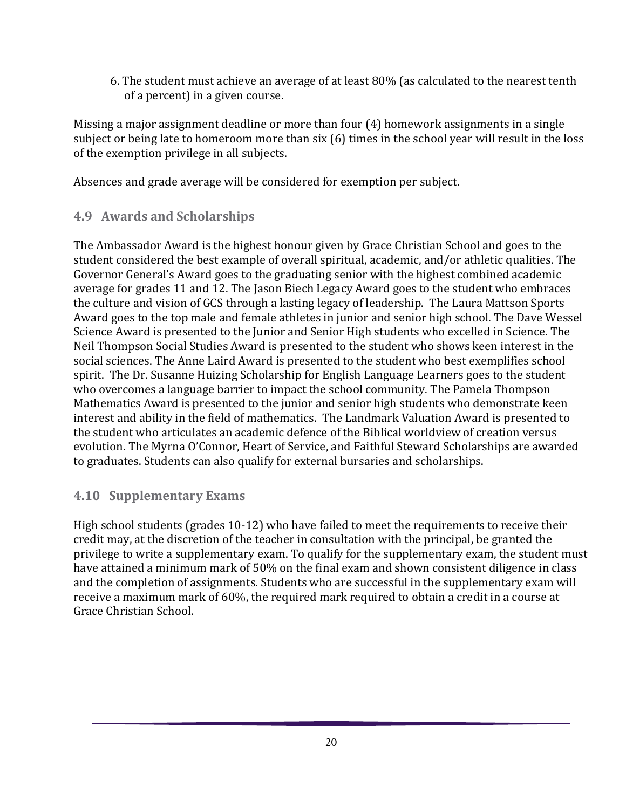6. The student must achieve an average of at least 80% (as calculated to the nearest tenth of a percent) in a given course.

Missing a major assignment deadline or more than four (4) homework assignments in a single subject or being late to homeroom more than six (6) times in the school year will result in the loss of the exemption privilege in all subjects.

Absences and grade average will be considered for exemption per subject.

#### **4.9 Awards and Scholarships**

The Ambassador Award is the highest honour given by Grace Christian School and goes to the student considered the best example of overall spiritual, academic, and/or athletic qualities. The Governor General's Award goes to the graduating senior with the highest combined academic average for grades 11 and 12. The Jason Biech Legacy Award goes to the student who embraces the culture and vision of GCS through a lasting legacy of leadership. The Laura Mattson Sports Award goes to the top male and female athletes in junior and senior high school. The Dave Wessel Science Award is presented to the Junior and Senior High students who excelled in Science. The Neil Thompson Social Studies Award is presented to the student who shows keen interest in the social sciences. The Anne Laird Award is presented to the student who best exemplifies school spirit. The Dr. Susanne Huizing Scholarship for English Language Learners goes to the student who overcomes a language barrier to impact the school community. The Pamela Thompson Mathematics Award is presented to the junior and senior high students who demonstrate keen interest and ability in the field of mathematics. The Landmark Valuation Award is presented to the student who articulates an academic defence of the Biblical worldview of creation versus evolution. The Myrna O'Connor, Heart of Service, and Faithful Steward Scholarships are awarded to graduates. Students can also qualify for external bursaries and scholarships.

#### **4.10 Supplementary Exams**

High school students (grades 10-12) who have failed to meet the requirements to receive their credit may, at the discretion of the teacher in consultation with the principal, be granted the privilege to write a supplementary exam. To qualify for the supplementary exam, the student must have attained a minimum mark of 50% on the final exam and shown consistent diligence in class and the completion of assignments. Students who are successful in the supplementary exam will receive a maximum mark of 60%, the required mark required to obtain a credit in a course at Grace Christian School.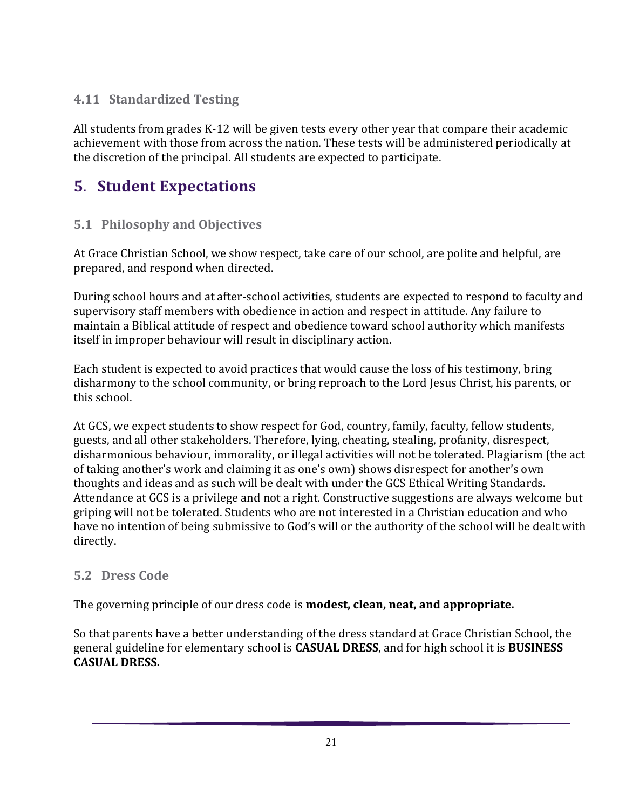## **4.11 Standardized Testing**

All students from grades K-12 will be given tests every other year that compare their academic achievement with those from across the nation. These tests will be administered periodically at the discretion of the principal. All students are expected to participate.

# <span id="page-20-0"></span>**5**. **Student Expectations**

## **5.1 Philosophy and Objectives**

At Grace Christian School, we show respect, take care of our school, are polite and helpful, are prepared, and respond when directed.

During school hours and at after-school activities, students are expected to respond to faculty and supervisory staff members with obedience in action and respect in attitude. Any failure to maintain a Biblical attitude of respect and obedience toward school authority which manifests itself in improper behaviour will result in disciplinary action.

Each student is expected to avoid practices that would cause the loss of his testimony, bring disharmony to the school community, or bring reproach to the Lord Jesus Christ, his parents, or this school.

At GCS, we expect students to show respect for God, country, family, faculty, fellow students, guests, and all other stakeholders. Therefore, lying, cheating, stealing, profanity, disrespect, disharmonious behaviour, immorality, or illegal activities will not be tolerated. Plagiarism (the act of taking another's work and claiming it as one's own) shows disrespect for another's own thoughts and ideas and as such will be dealt with under the GCS Ethical Writing Standards. Attendance at GCS is a privilege and not a right. Constructive suggestions are always welcome but griping will not be tolerated. Students who are not interested in a Christian education and who have no intention of being submissive to God's will or the authority of the school will be dealt with directly.

#### **5.2 Dress Code**

The governing principle of our dress code is **modest, clean, neat, and appropriate.**

So that parents have a better understanding of the dress standard at Grace Christian School, the general guideline for elementary school is **CASUAL DRESS**, and for high school it is **BUSINESS CASUAL DRESS.**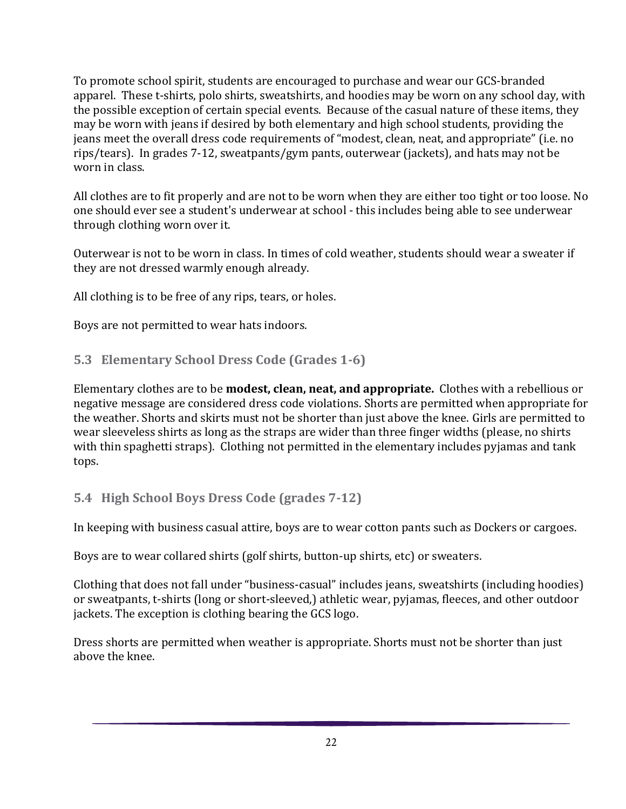To promote school spirit, students are encouraged to purchase and wear our GCS-branded apparel. These t-shirts, polo shirts, sweatshirts, and hoodies may be worn on any school day, with the possible exception of certain special events. Because of the casual nature of these items, they may be worn with jeans if desired by both elementary and high school students, providing the jeans meet the overall dress code requirements of "modest, clean, neat, and appropriate" (i.e. no rips/tears). In grades 7-12, sweatpants/gym pants, outerwear (jackets), and hats may not be worn in class.

All clothes are to fit properly and are not to be worn when they are either too tight or too loose. No one should ever see a student's underwear at school - this includes being able to see underwear through clothing worn over it.

Outerwear is not to be worn in class. In times of cold weather, students should wear a sweater if they are not dressed warmly enough already.

All clothing is to be free of any rips, tears, or holes.

Boys are not permitted to wear hats indoors.

#### **5.3 Elementary School Dress Code (Grades 1-6)**

Elementary clothes are to be **modest, clean, neat, and appropriate.** Clothes with a rebellious or negative message are considered dress code violations. Shorts are permitted when appropriate for the weather. Shorts and skirts must not be shorter than just above the knee. Girls are permitted to wear sleeveless shirts as long as the straps are wider than three finger widths (please, no shirts with thin spaghetti straps). Clothing not permitted in the elementary includes pyjamas and tank tops.

#### **5.4 High School Boys Dress Code (grades 7-12)**

In keeping with business casual attire, boys are to wear cotton pants such as Dockers or cargoes.

Boys are to wear collared shirts (golf shirts, button-up shirts, etc) or sweaters.

Clothing that does not fall under "business-casual" includes jeans, sweatshirts (including hoodies) or sweatpants, t-shirts (long or short-sleeved,) athletic wear, pyjamas, fleeces, and other outdoor jackets. The exception is clothing bearing the GCS logo.

Dress shorts are permitted when weather is appropriate. Shorts must not be shorter than just above the knee.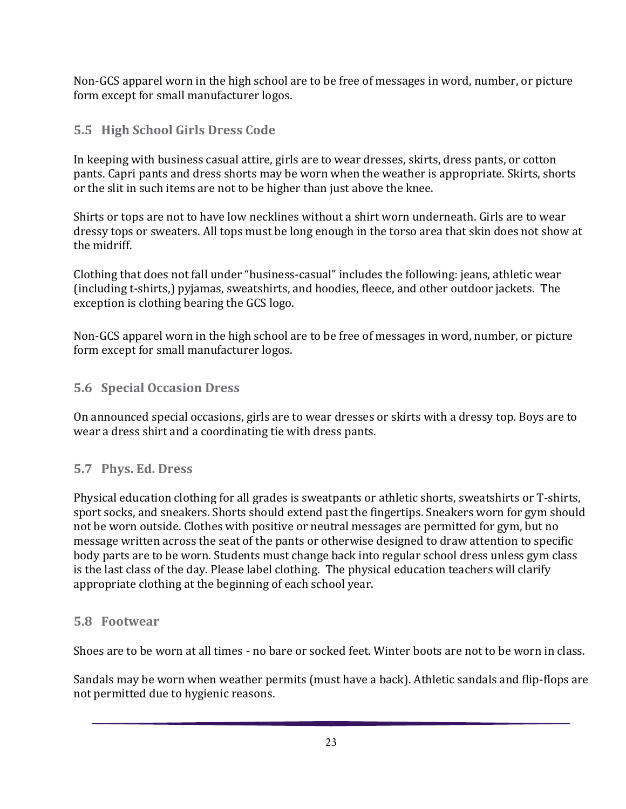Non-GCS apparel worn in the high school are to be free of messages in word, number, or picture form except for small manufacturer logos.

## **5.5 High School Girls Dress Code**

In keeping with business casual attire, girls are to wear dresses, skirts, dress pants, or cotton pants. Capri pants and dress shorts may be worn when the weather is appropriate. Skirts, shorts or the slit in such items are not to be higher than just above the knee.

Shirts or tops are not to have low necklines without a shirt worn underneath. Girls are to wear dressy tops or sweaters. All tops must be long enough in the torso area that skin does not show at the midriff.

Clothing that does not fall under "business-casual" includes the following: jeans, athletic wear (including t-shirts,) pyjamas, sweatshirts, and hoodies, fleece, and other outdoor jackets. The exception is clothing bearing the GCS logo.

Non-GCS apparel worn in the high school are to be free of messages in word, number, or picture form except for small manufacturer logos.

#### **5.6 Special Occasion Dress**

On announced special occasions, girls are to wear dresses or skirts with a dressy top. Boys are to wear a dress shirt and a coordinating tie with dress pants.

#### **5.7 Phys. Ed. Dress**

Physical education clothing for all grades is sweatpants or athletic shorts, sweatshirts or T-shirts, sport socks, and sneakers. Shorts should extend past the fingertips. Sneakers worn for gym should not be worn outside. Clothes with positive or neutral messages are permitted for gym, but no message written across the seat of the pants or otherwise designed to draw attention to specific body parts are to be worn. Students must change back into regular school dress unless gym class is the last class of the day. Please label clothing. The physical education teachers will clarify appropriate clothing at the beginning of each school year.

#### **5.8 Footwear**

Shoes are to be worn at all times - no bare or socked feet. Winter boots are not to be worn in class.

Sandals may be worn when weather permits (must have a back). Athletic sandals and flip-flops are not permitted due to hygienic reasons.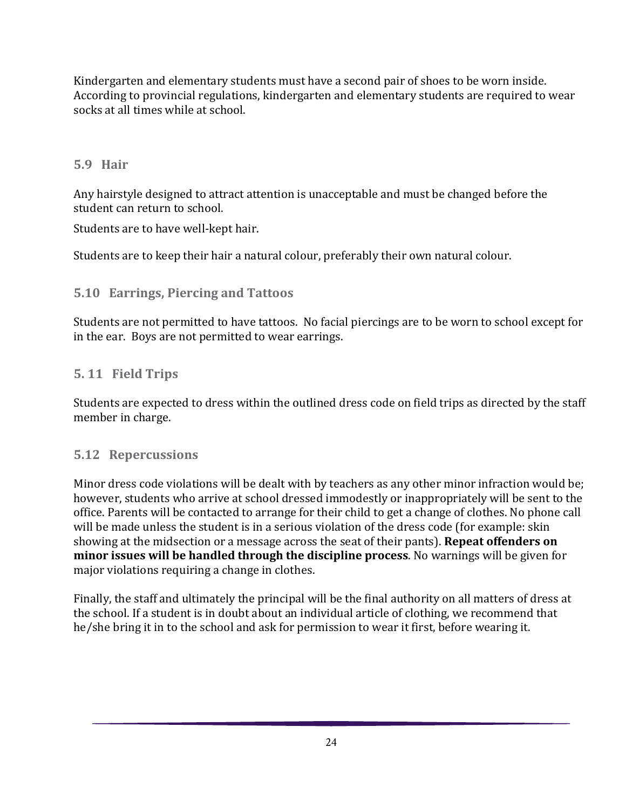Kindergarten and elementary students must have a second pair of shoes to be worn inside. According to provincial regulations, kindergarten and elementary students are required to wear socks at all times while at school.

#### **5.9 Hair**

Any hairstyle designed to attract attention is unacceptable and must be changed before the student can return to school.

Students are to have well-kept hair.

Students are to keep their hair a natural colour, preferably their own natural colour.

## **5.10 Earrings, Piercing and Tattoos**

Students are not permitted to have tattoos. No facial piercings are to be worn to school except for in the ear. Boys are not permitted to wear earrings.

## **5. 11 Field Trips**

Students are expected to dress within the outlined dress code on field trips as directed by the staff member in charge.

## **5.12 Repercussions**

Minor dress code violations will be dealt with by teachers as any other minor infraction would be; however, students who arrive at school dressed immodestly or inappropriately will be sent to the office. Parents will be contacted to arrange for their child to get a change of clothes. No phone call will be made unless the student is in a serious violation of the dress code (for example: skin showing at the midsection or a message across the seat of their pants). **Repeat offenders on minor issues will be handled through the discipline process**. No warnings will be given for major violations requiring a change in clothes.

Finally, the staff and ultimately the principal will be the final authority on all matters of dress at the school. If a student is in doubt about an individual article of clothing, we recommend that he/she bring it in to the school and ask for permission to wear it first, before wearing it.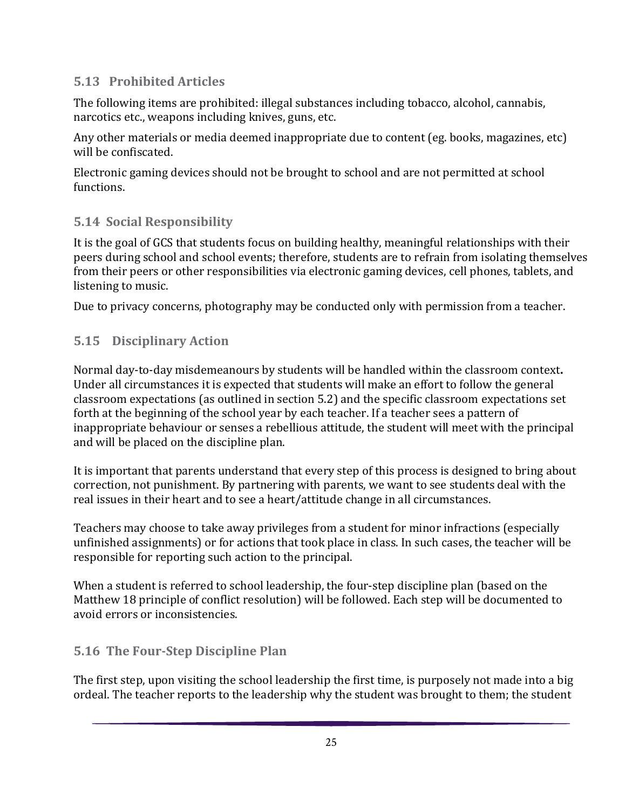## **5.13 Prohibited Articles**

The following items are prohibited: illegal substances including tobacco, alcohol, cannabis, narcotics etc., weapons including knives, guns, etc.

Any other materials or media deemed inappropriate due to content (eg. books, magazines, etc) will be confiscated.

Electronic gaming devices should not be brought to school and are not permitted at school functions.

## **5.14 Social Responsibility**

It is the goal of GCS that students focus on building healthy, meaningful relationships with their peers during school and school events; therefore, students are to refrain from isolating themselves from their peers or other responsibilities via electronic gaming devices, cell phones, tablets, and listening to music.

Due to privacy concerns, photography may be conducted only with permission from a teacher.

## **5.15 Disciplinary Action**

Normal day-to-day misdemeanours by students will be handled within the classroom context**.**  Under all circumstances it is expected that students will make an effort to follow the general classroom expectations (as outlined in section 5.2) and the specific classroom expectations set forth at the beginning of the school year by each teacher. If a teacher sees a pattern of inappropriate behaviour or senses a rebellious attitude, the student will meet with the principal and will be placed on the discipline plan.

It is important that parents understand that every step of this process is designed to bring about correction, not punishment. By partnering with parents, we want to see students deal with the real issues in their heart and to see a heart/attitude change in all circumstances.

Teachers may choose to take away privileges from a student for minor infractions (especially unfinished assignments) or for actions that took place in class. In such cases, the teacher will be responsible for reporting such action to the principal.

When a student is referred to school leadership, the four-step discipline plan (based on the Matthew 18 principle of conflict resolution) will be followed. Each step will be documented to avoid errors or inconsistencies.

## **5.16 The Four-Step Discipline Plan**

The first step, upon visiting the school leadership the first time, is purposely not made into a big ordeal. The teacher reports to the leadership why the student was brought to them; the student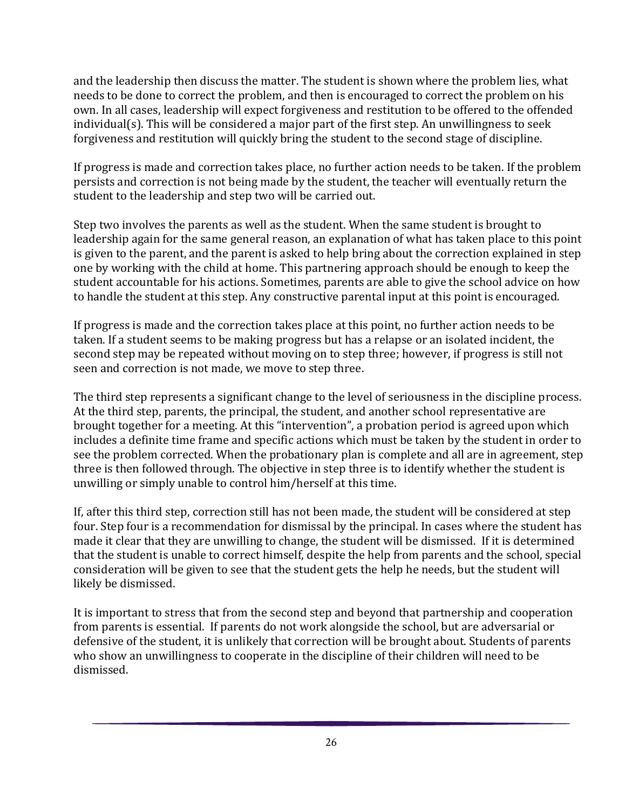and the leadership then discuss the matter. The student is shown where the problem lies, what needs to be done to correct the problem, and then is encouraged to correct the problem on his own. In all cases, leadership will expect forgiveness and restitution to be offered to the offended individual(s). This will be considered a major part of the first step. An unwillingness to seek forgiveness and restitution will quickly bring the student to the second stage of discipline.

If progress is made and correction takes place, no further action needs to be taken. If the problem persists and correction is not being made by the student, the teacher will eventually return the student to the leadership and step two will be carried out.

Step two involves the parents as well as the student. When the same student is brought to leadership again for the same general reason, an explanation of what has taken place to this point is given to the parent, and the parent is asked to help bring about the correction explained in step one by working with the child at home. This partnering approach should be enough to keep the student accountable for his actions. Sometimes, parents are able to give the school advice on how to handle the student at this step. Any constructive parental input at this point is encouraged.

If progress is made and the correction takes place at this point, no further action needs to be taken. If a student seems to be making progress but has a relapse or an isolated incident, the second step may be repeated without moving on to step three; however, if progress is still not seen and correction is not made, we move to step three.

The third step represents a significant change to the level of seriousness in the discipline process. At the third step, parents, the principal, the student, and another school representative are brought together for a meeting. At this "intervention", a probation period is agreed upon which includes a definite time frame and specific actions which must be taken by the student in order to see the problem corrected. When the probationary plan is complete and all are in agreement, step three is then followed through. The objective in step three is to identify whether the student is unwilling or simply unable to control him/herself at this time.

If, after this third step, correction still has not been made, the student will be considered at step four. Step four is a recommendation for dismissal by the principal. In cases where the student has made it clear that they are unwilling to change, the student will be dismissed. If it is determined that the student is unable to correct himself, despite the help from parents and the school, special consideration will be given to see that the student gets the help he needs, but the student will likely be dismissed.

It is important to stress that from the second step and beyond that partnership and cooperation from parents is essential. If parents do not work alongside the school, but are adversarial or defensive of the student, it is unlikely that correction will be brought about. Students of parents who show an unwillingness to cooperate in the discipline of their children will need to be dismissed.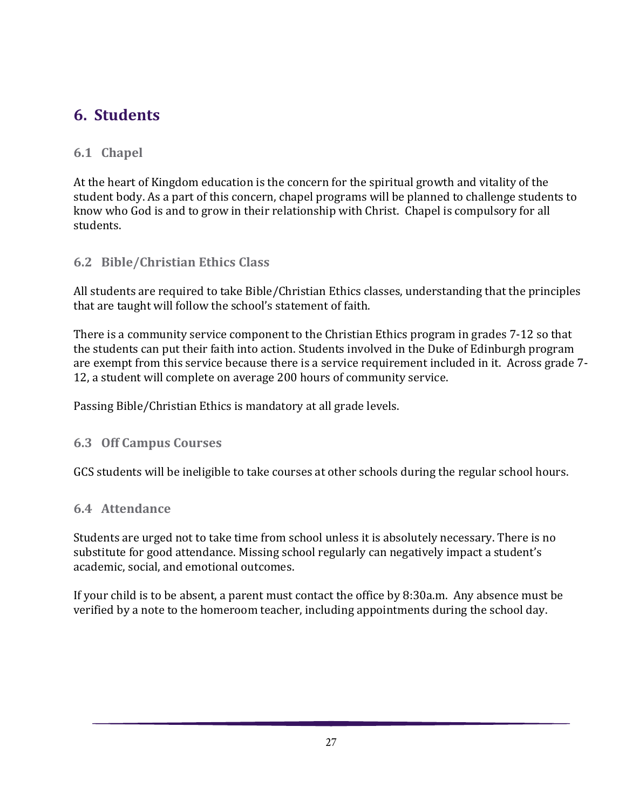# <span id="page-26-0"></span>**6. Students**

#### **6.1 Chapel**

At the heart of Kingdom education is the concern for the spiritual growth and vitality of the student body. As a part of this concern, chapel programs will be planned to challenge students to know who God is and to grow in their relationship with Christ. Chapel is compulsory for all students.

#### **6.2 Bible/Christian Ethics Class**

All students are required to take Bible/Christian Ethics classes, understanding that the principles that are taught will follow the school's statement of faith.

There is a community service component to the Christian Ethics program in grades 7-12 so that the students can put their faith into action. Students involved in the Duke of Edinburgh program are exempt from this service because there is a service requirement included in it. Across grade 7- 12, a student will complete on average 200 hours of community service.

Passing Bible/Christian Ethics is mandatory at all grade levels.

#### **6.3 Off Campus Courses**

GCS students will be ineligible to take courses at other schools during the regular school hours.

#### **6.4 Attendance**

Students are urged not to take time from school unless it is absolutely necessary. There is no substitute for good attendance. Missing school regularly can negatively impact a student's academic, social, and emotional outcomes.

If your child is to be absent, a parent must contact the office by 8:30a.m. Any absence must be verified by a note to the homeroom teacher, including appointments during the school day.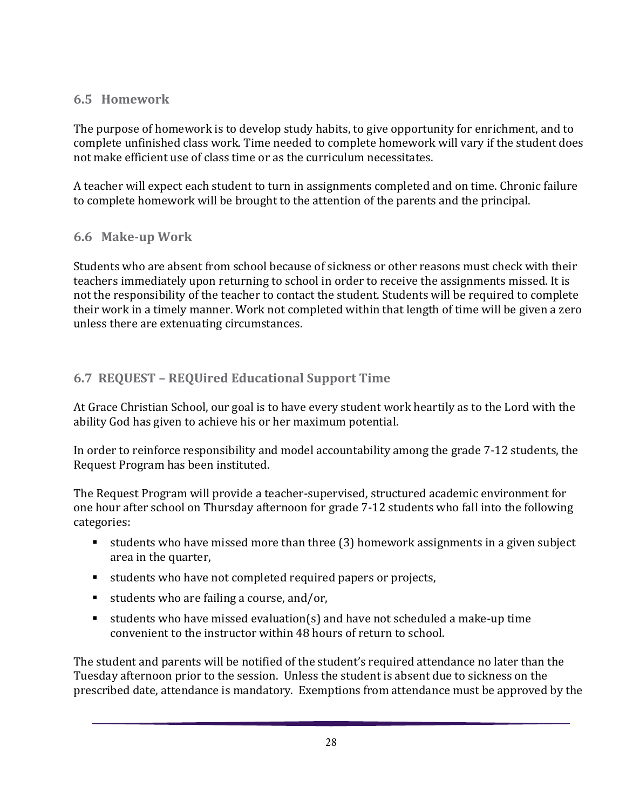#### **6.5 Homework**

The purpose of homework is to develop study habits, to give opportunity for enrichment, and to complete unfinished class work. Time needed to complete homework will vary if the student does not make efficient use of class time or as the curriculum necessitates.

A teacher will expect each student to turn in assignments completed and on time. Chronic failure to complete homework will be brought to the attention of the parents and the principal.

## **6.6 Make-up Work**

Students who are absent from school because of sickness or other reasons must check with their teachers immediately upon returning to school in order to receive the assignments missed. It is not the responsibility of the teacher to contact the student. Students will be required to complete their work in a timely manner. Work not completed within that length of time will be given a zero unless there are extenuating circumstances.

## **6.7 REQUEST – REQUired Educational Support Time**

At Grace Christian School, our goal is to have every student work heartily as to the Lord with the ability God has given to achieve his or her maximum potential.

In order to reinforce responsibility and model accountability among the grade 7-12 students, the Request Program has been instituted.

The Request Program will provide a teacher-supervised, structured academic environment for one hour after school on Thursday afternoon for grade 7-12 students who fall into the following categories:

- students who have missed more than three (3) homework assignments in a given subject area in the quarter,
- students who have not completed required papers or projects,
- $\blacksquare$  students who are failing a course, and/or,
- students who have missed evaluation(s) and have not scheduled a make-up time convenient to the instructor within 48 hours of return to school.

The student and parents will be notified of the student's required attendance no later than the Tuesday afternoon prior to the session. Unless the student is absent due to sickness on the prescribed date, attendance is mandatory. Exemptions from attendance must be approved by the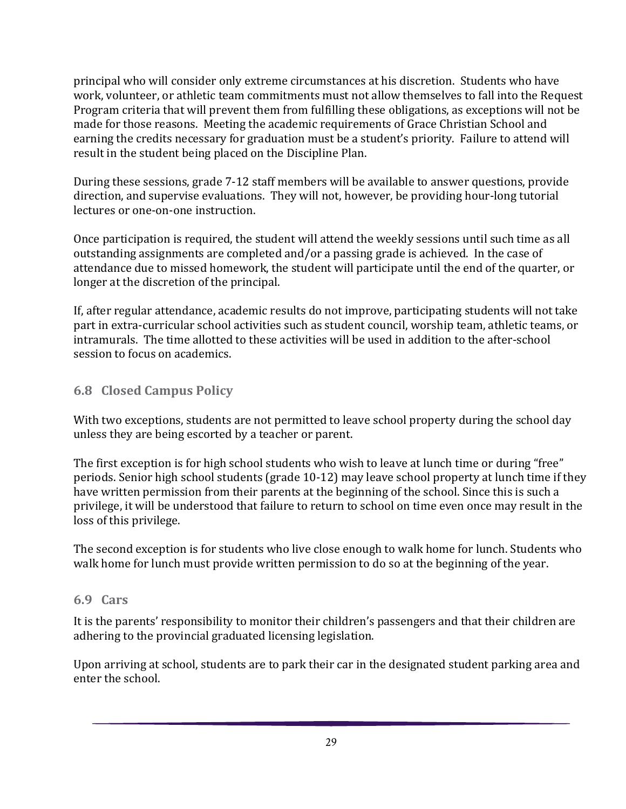principal who will consider only extreme circumstances at his discretion. Students who have work, volunteer, or athletic team commitments must not allow themselves to fall into the Request Program criteria that will prevent them from fulfilling these obligations, as exceptions will not be made for those reasons. Meeting the academic requirements of Grace Christian School and earning the credits necessary for graduation must be a student's priority. Failure to attend will result in the student being placed on the Discipline Plan.

During these sessions, grade 7-12 staff members will be available to answer questions, provide direction, and supervise evaluations. They will not, however, be providing hour-long tutorial lectures or one-on-one instruction.

Once participation is required, the student will attend the weekly sessions until such time as all outstanding assignments are completed and/or a passing grade is achieved. In the case of attendance due to missed homework, the student will participate until the end of the quarter, or longer at the discretion of the principal.

If, after regular attendance, academic results do not improve, participating students will not take part in extra-curricular school activities such as student council, worship team, athletic teams, or intramurals. The time allotted to these activities will be used in addition to the after-school session to focus on academics.

## **6.8 Closed Campus Policy**

With two exceptions, students are not permitted to leave school property during the school day unless they are being escorted by a teacher or parent.

The first exception is for high school students who wish to leave at lunch time or during "free" periods. Senior high school students (grade 10-12) may leave school property at lunch time if they have written permission from their parents at the beginning of the school. Since this is such a privilege, it will be understood that failure to return to school on time even once may result in the loss of this privilege.

The second exception is for students who live close enough to walk home for lunch. Students who walk home for lunch must provide written permission to do so at the beginning of the year.

#### **6.9 Cars**

It is the parents' responsibility to monitor their children's passengers and that their children are adhering to the provincial graduated licensing legislation.

Upon arriving at school, students are to park their car in the designated student parking area and enter the school.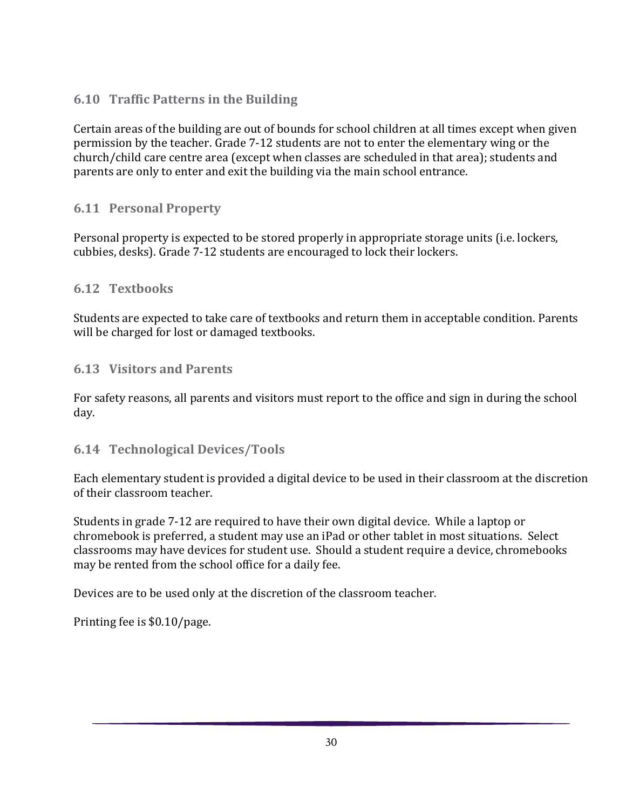## **6.10 Traffic Patterns in the Building**

Certain areas of the building are out of bounds for school children at all times except when given permission by the teacher. Grade 7-12 students are not to enter the elementary wing or the church/child care centre area (except when classes are scheduled in that area); students and parents are only to enter and exit the building via the main school entrance.

## **6.11 Personal Property**

Personal property is expected to be stored properly in appropriate storage units (i.e. lockers, cubbies, desks). Grade 7-12 students are encouraged to lock their lockers.

#### **6.12 Textbooks**

Students are expected to take care of textbooks and return them in acceptable condition. Parents will be charged for lost or damaged textbooks.

#### **6.13 Visitors and Parents**

For safety reasons, all parents and visitors must report to the office and sign in during the school day.

## **6.14 Technological Devices/Tools**

Each elementary student is provided a digital device to be used in their classroom at the discretion of their classroom teacher.

Students in grade 7-12 are required to have their own digital device. While a laptop or chromebook is preferred, a student may use an iPad or other tablet in most situations. Select classrooms may have devices for student use. Should a student require a device, chromebooks may be rented from the school office for a daily fee.

Devices are to be used only at the discretion of the classroom teacher.

Printing fee is \$0.10/page.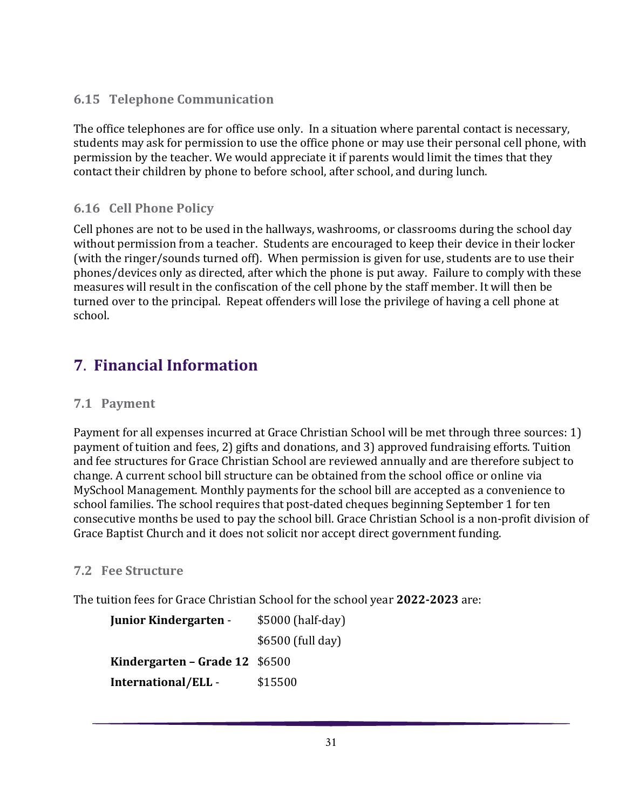## **6.15 Telephone Communication**

The office telephones are for office use only. In a situation where parental contact is necessary, students may ask for permission to use the office phone or may use their personal cell phone, with permission by the teacher. We would appreciate it if parents would limit the times that they contact their children by phone to before school, after school, and during lunch.

## **6.16 Cell Phone Policy**

Cell phones are not to be used in the hallways, washrooms, or classrooms during the school day without permission from a teacher. Students are encouraged to keep their device in their locker (with the ringer/sounds turned off). When permission is given for use, students are to use their phones/devices only as directed, after which the phone is put away. Failure to comply with these measures will result in the confiscation of the cell phone by the staff member. It will then be turned over to the principal. Repeat offenders will lose the privilege of having a cell phone at school.

## <span id="page-30-0"></span>**7**. **Financial Information**

#### **7.1 Payment**

Payment for all expenses incurred at Grace Christian School will be met through three sources: 1) payment of tuition and fees, 2) gifts and donations, and 3) approved fundraising efforts. Tuition and fee structures for Grace Christian School are reviewed annually and are therefore subject to change. A current school bill structure can be obtained from the school office or online via MySchool Management. Monthly payments for the school bill are accepted as a convenience to school families. The school requires that post-dated cheques beginning September 1 for ten consecutive months be used to pay the school bill. Grace Christian School is a non-profit division of Grace Baptist Church and it does not solicit nor accept direct government funding.

#### **7.2 Fee Structure**

The tuition fees for Grace Christian School for the school year **2022-2023** are:

| <b>Junior Kindergarten -</b>   | \$5000 (half-day) |  |
|--------------------------------|-------------------|--|
|                                | \$6500 (full day) |  |
| Kindergarten – Grade 12 \$6500 |                   |  |
| International/ELL -            | \$15500           |  |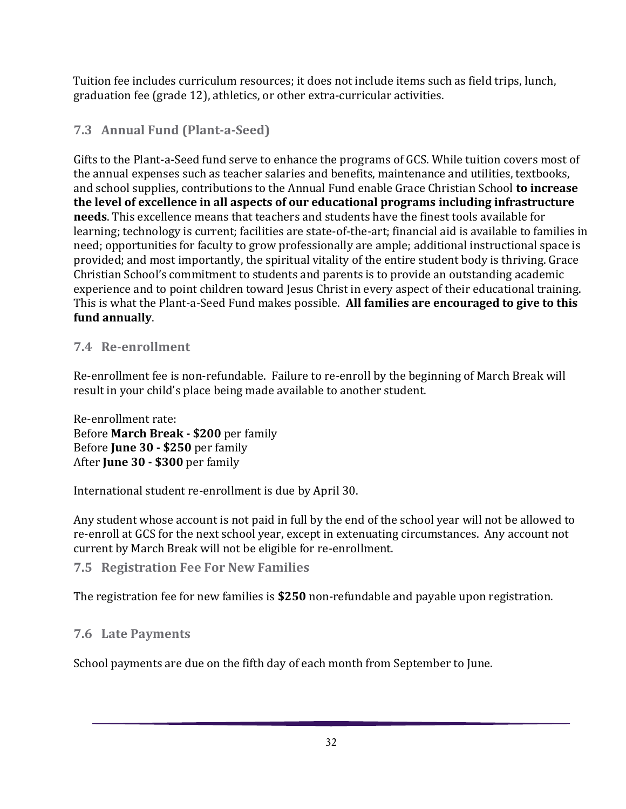Tuition fee includes curriculum resources; it does not include items such as field trips, lunch, graduation fee (grade 12), athletics, or other extra-curricular activities.

## **7.3 Annual Fund (Plant-a-Seed)**

Gifts to the Plant-a-Seed fund serve to enhance the programs of GCS. While tuition covers most of the annual expenses such as teacher salaries and benefits, maintenance and utilities, textbooks, and school supplies, contributions to the Annual Fund enable Grace Christian School **to increase the level of excellence in all aspects of our educational programs including infrastructure needs**. This excellence means that teachers and students have the finest tools available for learning; technology is current; facilities are state-of-the-art; financial aid is available to families in need; opportunities for faculty to grow professionally are ample; additional instructional space is provided; and most importantly, the spiritual vitality of the entire student body is thriving. Grace Christian School's commitment to students and parents is to provide an outstanding academic experience and to point children toward Jesus Christ in every aspect of their educational training. This is what the Plant-a-Seed Fund makes possible. **All families are encouraged to give to this fund annually**.

## **7.4 Re-enrollment**

Re-enrollment fee is non-refundable. Failure to re-enroll by the beginning of March Break will result in your child's place being made available to another student.

Re-enrollment rate: Before **March Break - \$200** per family Before **June 30 - \$250** per family After **June 30 - \$300** per family

International student re-enrollment is due by April 30.

Any student whose account is not paid in full by the end of the school year will not be allowed to re-enroll at GCS for the next school year, except in extenuating circumstances. Any account not current by March Break will not be eligible for re-enrollment.

## **7.5 Registration Fee For New Families**

The registration fee for new families is **\$250** non-refundable and payable upon registration.

## **7.6 Late Payments**

School payments are due on the fifth day of each month from September to June.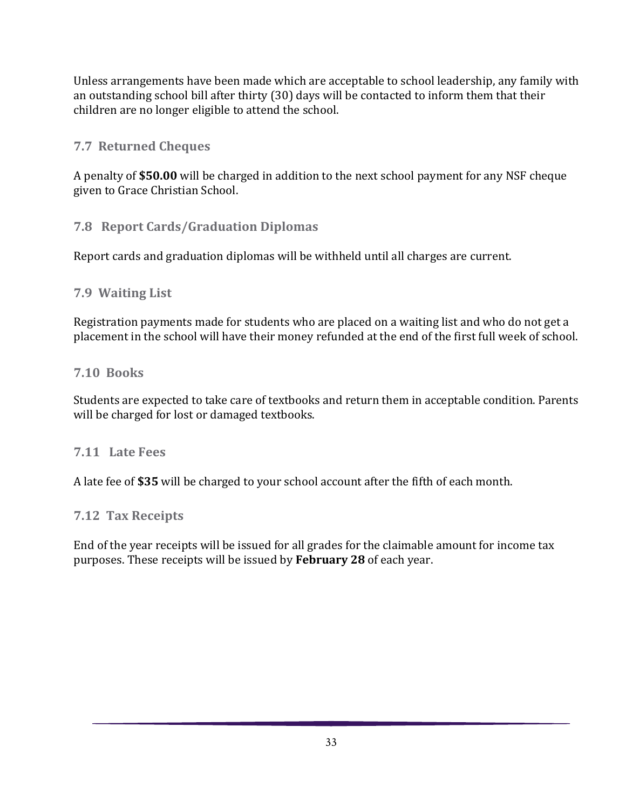Unless arrangements have been made which are acceptable to school leadership, any family with an outstanding school bill after thirty (30) days will be contacted to inform them that their children are no longer eligible to attend the school.

#### **7.7 Returned Cheques**

A penalty of **\$50.00** will be charged in addition to the next school payment for any NSF cheque given to Grace Christian School.

#### **7.8 Report Cards/Graduation Diplomas**

Report cards and graduation diplomas will be withheld until all charges are current.

#### **7.9 Waiting List**

Registration payments made for students who are placed on a waiting list and who do not get a placement in the school will have their money refunded at the end of the first full week of school.

#### **7.10 Books**

Students are expected to take care of textbooks and return them in acceptable condition. Parents will be charged for lost or damaged textbooks.

#### **7.11 Late Fees**

A late fee of **\$35** will be charged to your school account after the fifth of each month.

#### **7.12 Tax Receipts**

<span id="page-32-0"></span>End of the year receipts will be issued for all grades for the claimable amount for income tax purposes. These receipts will be issued by **February 28** of each year.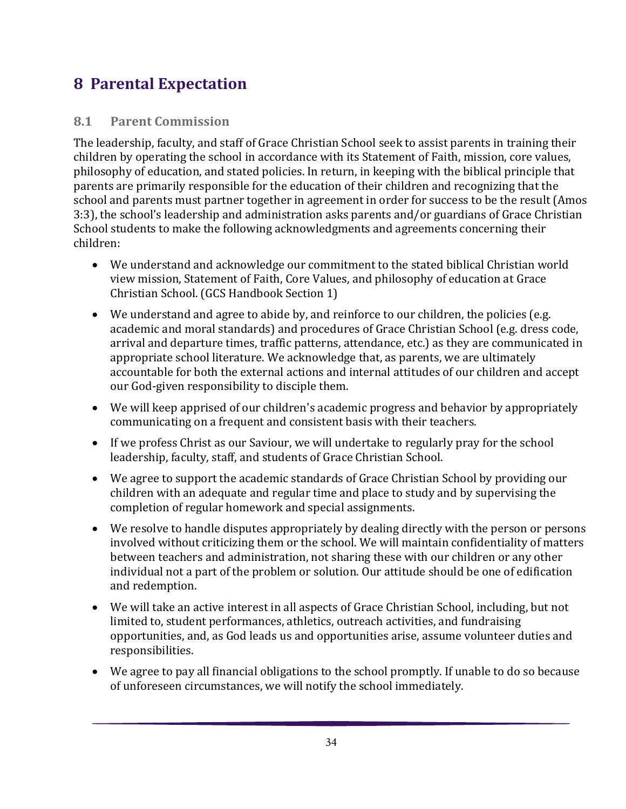# **8 Parental Expectation**

#### **8.1 Parent Commission**

The leadership, faculty, and staff of Grace Christian School seek to assist parents in training their children by operating the school in accordance with its Statement of Faith, mission, core values, philosophy of education, and stated policies. In return, in keeping with the biblical principle that parents are primarily responsible for the education of their children and recognizing that the school and parents must partner together in agreement in order for success to be the result (Amos 3:3), the school's leadership and administration asks parents and/or guardians of Grace Christian School students to make the following acknowledgments and agreements concerning their children:

- We understand and acknowledge our commitment to the stated biblical Christian world view mission, Statement of Faith, Core Values, and philosophy of education at Grace Christian School. (GCS Handbook Section 1)
- We understand and agree to abide by, and reinforce to our children, the policies (e.g. academic and moral standards) and procedures of Grace Christian School (e.g. dress code, arrival and departure times, traffic patterns, attendance, etc.) as they are communicated in appropriate school literature. We acknowledge that, as parents, we are ultimately accountable for both the external actions and internal attitudes of our children and accept our God-given responsibility to disciple them.
- We will keep apprised of our children's academic progress and behavior by appropriately communicating on a frequent and consistent basis with their teachers.
- If we profess Christ as our Saviour, we will undertake to regularly pray for the school leadership, faculty, staff, and students of Grace Christian School.
- We agree to support the academic standards of Grace Christian School by providing our children with an adequate and regular time and place to study and by supervising the completion of regular homework and special assignments.
- We resolve to handle disputes appropriately by dealing directly with the person or persons involved without criticizing them or the school. We will maintain confidentiality of matters between teachers and administration, not sharing these with our children or any other individual not a part of the problem or solution. Our attitude should be one of edification and redemption.
- We will take an active interest in all aspects of Grace Christian School, including, but not limited to, student performances, athletics, outreach activities, and fundraising opportunities, and, as God leads us and opportunities arise, assume volunteer duties and responsibilities.
- We agree to pay all financial obligations to the school promptly. If unable to do so because of unforeseen circumstances, we will notify the school immediately.